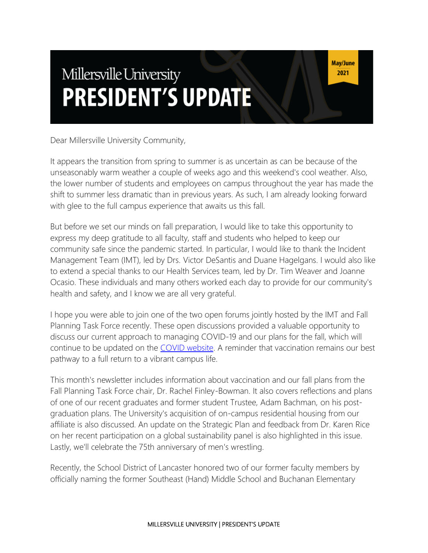# Millersville University **PRESIDENT'S UPDATE**

May/June 2021

Dear Millersville University Community,

It appears the transition from spring to summer is as uncertain as can be because of the unseasonably warm weather a couple of weeks ago and this weekend's cool weather. Also, the lower number of students and employees on campus throughout the year has made the shift to summer less dramatic than in previous years. As such, I am already looking forward with glee to the full campus experience that awaits us this fall.

But before we set our minds on fall preparation, I would like to take this opportunity to express my deep gratitude to all faculty, staff and students who helped to keep our community safe since the pandemic started. In particular, I would like to thank the Incident Management Team (IMT), led by Drs. Victor DeSantis and Duane Hagelgans. I would also like to extend a special thanks to our Health Services team, led by Dr. Tim Weaver and Joanne Ocasio. These individuals and many others worked each day to provide for our community's health and safety, and I know we are all very grateful.

I hope you were able to join one of the two open forums jointly hosted by the IMT and Fall Planning Task Force recently. These open discussions provided a valuable opportunity to discuss our current approach to managing COVID-19 and our plans for the fall, which will continue to be updated on the [COVID website.](https://www.millersville.edu/coronavirus/index.php) A reminder that vaccination remains our best pathway to a full return to a vibrant campus life.

This month's newsletter includes information about vaccination and our fall plans from the Fall Planning Task Force chair, Dr. Rachel Finley-Bowman. It also covers reflections and plans of one of our recent graduates and former student Trustee, Adam Bachman, on his postgraduation plans. The University's acquisition of on-campus residential housing from our affiliate is also discussed. An update on the Strategic Plan and feedback from Dr. Karen Rice on her recent participation on a global sustainability panel is also highlighted in this issue. Lastly, we'll celebrate the 75th anniversary of men's wrestling.

Recently, the School District of Lancaster honored two of our former faculty members by officially naming the former Southeast (Hand) Middle School and Buchanan Elementary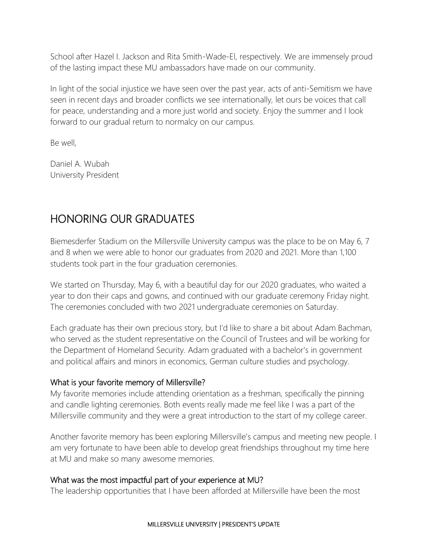School after Hazel I. Jackson and Rita Smith-Wade-El, respectively. We are immensely proud of the lasting impact these MU ambassadors have made on our community.

In light of the social injustice we have seen over the past year, acts of anti-Semitism we have seen in recent days and broader conflicts we see internationally, let ours be voices that call for peace, understanding and a more just world and society. Enjoy the summer and I look forward to our gradual return to normalcy on our campus.

Be well,

Daniel A. Wubah University President

# HONORING OUR GRADUATES

Biemesderfer Stadium on the Millersville University campus was the place to be on May 6, 7 and 8 when we were able to honor our graduates from 2020 and 2021. More than 1,100 students took part in the four graduation ceremonies.

We started on Thursday, May 6, with a beautiful day for our 2020 graduates, who waited a year to don their caps and gowns, and continued with our graduate ceremony Friday night. The ceremonies concluded with two 2021 undergraduate ceremonies on Saturday.

Each graduate has their own precious story, but I'd like to share a bit about Adam Bachman, who served as the student representative on the Council of Trustees and will be working for the Department of Homeland Security. Adam graduated with a bachelor's in government and political affairs and minors in economics, German culture studies and psychology.

### What is your favorite memory of Millersville?

My favorite memories include attending orientation as a freshman, specifically the pinning and candle lighting ceremonies. Both events really made me feel like I was a part of the Millersville community and they were a great introduction to the start of my college career.

Another favorite memory has been exploring Millersville's campus and meeting new people. I am very fortunate to have been able to develop great friendships throughout my time here at MU and make so many awesome memories.

### What was the most impactful part of your experience at MU?

The leadership opportunities that I have been afforded at Millersville have been the most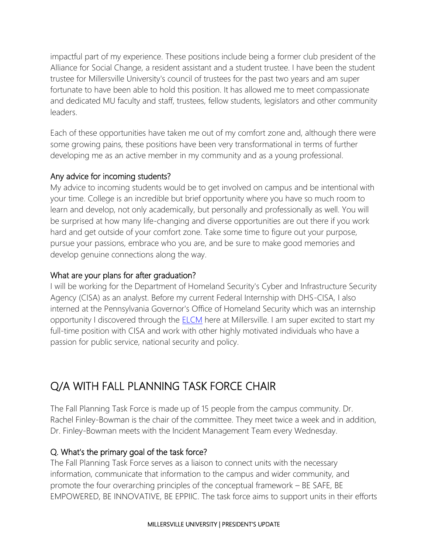impactful part of my experience. These positions include being a former club president of the Alliance for Social Change, a resident assistant and a student trustee. I have been the student trustee for Millersville University's council of trustees for the past two years and am super fortunate to have been able to hold this position. It has allowed me to meet compassionate and dedicated MU faculty and staff, trustees, fellow students, legislators and other community leaders.

Each of these opportunities have taken me out of my comfort zone and, although there were some growing pains, these positions have been very transformational in terms of further developing me as an active member in my community and as a young professional.

### Any advice for incoming students?

My advice to incoming students would be to get involved on campus and be intentional with your time. College is an incredible but brief opportunity where you have so much room to learn and develop, not only academically, but personally and professionally as well. You will be surprised at how many life-changing and diverse opportunities are out there if you work hard and get outside of your comfort zone. Take some time to figure out your purpose, pursue your passions, embrace who you are, and be sure to make good memories and develop genuine connections along the way.

### What are your plans for after graduation?

I will be working for the Department of Homeland Security's Cyber and Infrastructure Security Agency (CISA) as an analyst. Before my current Federal Internship with DHS-CISA, I also interned at the Pennsylvania Governor's Office of Homeland Security which was an internship opportunity I discovered through the [ELCM](https://www.millersville.edu/elcm/index.php) here at Millersville. I am super excited to start my full-time position with CISA and work with other highly motivated individuals who have a passion for public service, national security and policy.

# Q/A WITH FALL PLANNING TASK FORCE CHAIR

The Fall Planning Task Force is made up of 15 people from the campus community. Dr. Rachel Finley-Bowman is the chair of the committee. They meet twice a week and in addition, Dr. Finley-Bowman meets with the Incident Management Team every Wednesday.

### Q. What's the primary goal of the task force?

The Fall Planning Task Force serves as a liaison to connect units with the necessary information, communicate that information to the campus and wider community, and promote the four overarching principles of the conceptual framework – BE SAFE, BE EMPOWERED, BE INNOVATIVE, BE EPPIIC. The task force aims to support units in their efforts

#### MILLERSVILLE UNIVERSITY | PRESIDENT'S UPDATE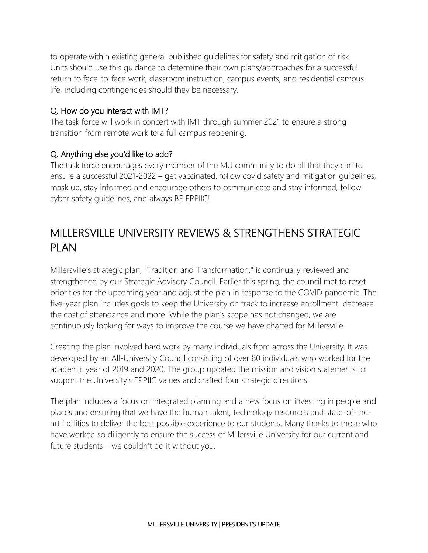to operate within existing general published guidelines for safety and mitigation of risk. Units should use this guidance to determine their own plans/approaches for a successful return to face-to-face work, classroom instruction, campus events, and residential campus life, including contingencies should they be necessary.

### Q. How do you interact with IMT?

The task force will work in concert with IMT through summer 2021 to ensure a strong transition from remote work to a full campus reopening.

### Q. Anything else you'd like to add?

The task force encourages every member of the MU community to do all that they can to ensure a successful 2021-2022 – get vaccinated, follow covid safety and mitigation guidelines, mask up, stay informed and encourage others to communicate and stay informed, follow cyber safety guidelines, and always BE EPPIIC!

# MILLERSVILLE UNIVERSITY REVIEWS & STRENGTHENS STRATEGIC PLAN

Millersville's strategic plan, "Tradition and Transformation," is continually reviewed and strengthened by our Strategic Advisory Council. Earlier this spring, the council met to reset priorities for the upcoming year and adjust the plan in response to the COVID pandemic. The five-year plan includes goals to keep the University on track to increase enrollment, decrease the cost of attendance and more. While the plan's scope has not changed, we are continuously looking for ways to improve the course we have charted for Millersville.

Creating the plan involved hard work by many individuals from across the University. It was developed by an All-University Council consisting of over 80 individuals who worked for the academic year of 2019 and 2020. The group updated the mission and vision statements to support the University's EPPIIC values and crafted four strategic directions.

The plan includes a focus on integrated planning and a new focus on investing in people and places and ensuring that we have the human talent, technology resources and state-of-theart facilities to deliver the best possible experience to our students. Many thanks to those who have worked so diligently to ensure the success of Millersville University for our current and future students – we couldn't do it without you.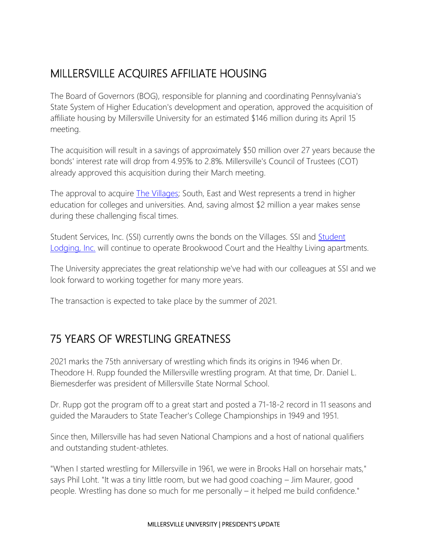# MILLERSVILLE ACQUIRES AFFILIATE HOUSING

The Board of Governors (BOG), responsible for planning and coordinating Pennsylvania's State System of Higher Education's development and operation, approved the acquisition of affiliate housing by Millersville University for an estimated \$146 million during its April 15 meeting.

The acquisition will result in a savings of approximately \$50 million over 27 years because the bonds' interest rate will drop from 4.95% to 2.8%. Millersville's Council of Trustees (COT) already approved this acquisition during their March meeting.

The approval to acquire [The Villages;](https://www.millersville.edu/housing/on-campus-housing-options/index.php) South, East and West represents a trend in higher education for colleges and universities. And, saving almost \$2 million a year makes sense during these challenging fiscal times.

[Student](https://www.studentlodginginc.com/) Services, Inc. (SSI) currently owns the bonds on the Villages. SSI and Student [Lodging, Inc.](https://www.studentlodginginc.com/) will continue to operate Brookwood Court and the Healthy Living apartments.

The University appreciates the great relationship we've had with our colleagues at SSI and we look forward to working together for many more years.

The transaction is expected to take place by the summer of 2021.

# 75 YEARS OF WRESTLING GREATNESS

2021 marks the 75th anniversary of wrestling which finds its origins in 1946 when Dr. Theodore H. Rupp founded the Millersville wrestling program. At that time, Dr. Daniel L. Biemesderfer was president of Millersville State Normal School.

Dr. Rupp got the program off to a great start and posted a 71-18-2 record in 11 seasons and guided the Marauders to State Teacher's College Championships in 1949 and 1951.

Since then, Millersville has had seven National Champions and a host of national qualifiers and outstanding student-athletes.

"When I started wrestling for Millersville in 1961, we were in Brooks Hall on horsehair mats," says Phil Loht. "It was a tiny little room, but we had good coaching – Jim Maurer, good people. Wrestling has done so much for me personally – it helped me build confidence."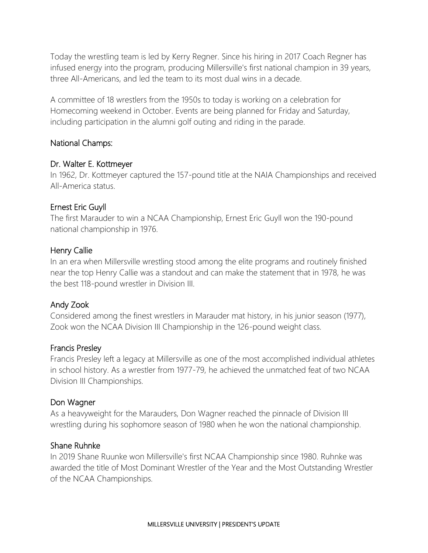Today the wrestling team is led by Kerry Regner. Since his hiring in 2017 Coach Regner has infused energy into the program, producing Millersville's first national champion in 39 years, three All-Americans, and led the team to its most dual wins in a decade.

A committee of 18 wrestlers from the 1950s to today is working on a celebration for Homecoming weekend in October. Events are being planned for Friday and Saturday, including participation in the alumni golf outing and riding in the parade.

#### National Champs:

#### Dr. Walter E. Kottmeyer

In 1962, Dr. Kottmeyer captured the 157-pound title at the NAIA Championships and received All-America status.

### Ernest Eric Guyll

The first Marauder to win a NCAA Championship, Ernest Eric Guyll won the 190-pound national championship in 1976.

### Henry Callie

In an era when Millersville wrestling stood among the elite programs and routinely finished near the top Henry Callie was a standout and can make the statement that in 1978, he was the best 118-pound wrestler in Division III.

### Andy Zook

Considered among the finest wrestlers in Marauder mat history, in his junior season (1977), Zook won the NCAA Division III Championship in the 126-pound weight class.

#### Francis Presley

Francis Presley left a legacy at Millersville as one of the most accomplished individual athletes in school history. As a wrestler from 1977-79, he achieved the unmatched feat of two NCAA Division III Championships.

#### Don Wagner

As a heavyweight for the Marauders, Don Wagner reached the pinnacle of Division III wrestling during his sophomore season of 1980 when he won the national championship.

#### Shane Ruhnke

In 2019 Shane Ruunke won Millersville's first NCAA Championship since 1980. Ruhnke was awarded the title of Most Dominant Wrestler of the Year and the Most Outstanding Wrestler of the NCAA Championships.